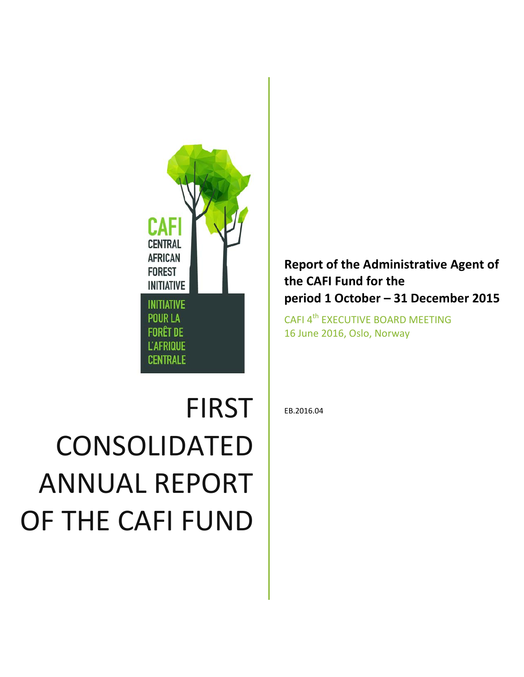

# FIRST CONSOLIDATED ANNUAL REPORT OF THE CAFI FUND

# **Report of the Administrative Agent of the CAFI Fund for the period 1 October – 31 December 2015**

CAFI 4<sup>th</sup> EXECUTIVE BOARD MEETING 16 June 2016, Oslo, Norway

EB.2016.04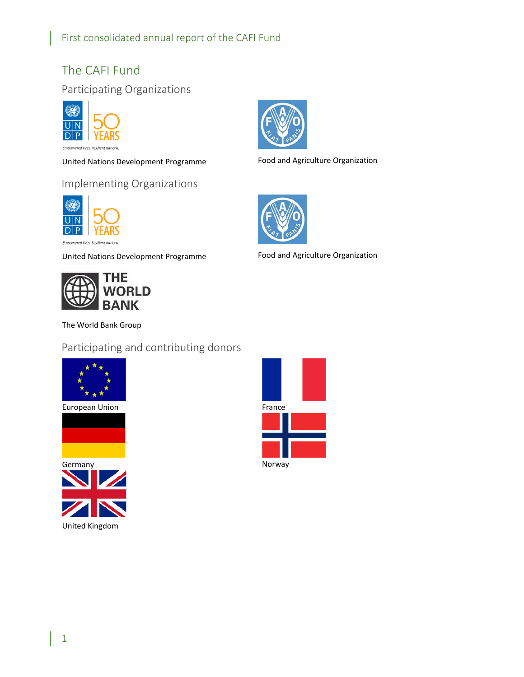# <span id="page-1-0"></span>The CAFI Fund

# <span id="page-1-1"></span>Participating Organizations



red lives. Resilient nations

United Nations Development Programme Food and Agriculture Organization

# <span id="page-1-2"></span>Implementing Organizations



United Nations Development Programme



The World Bank Group

<span id="page-1-3"></span>Participating and contributing donors











Food and Agriculture Organization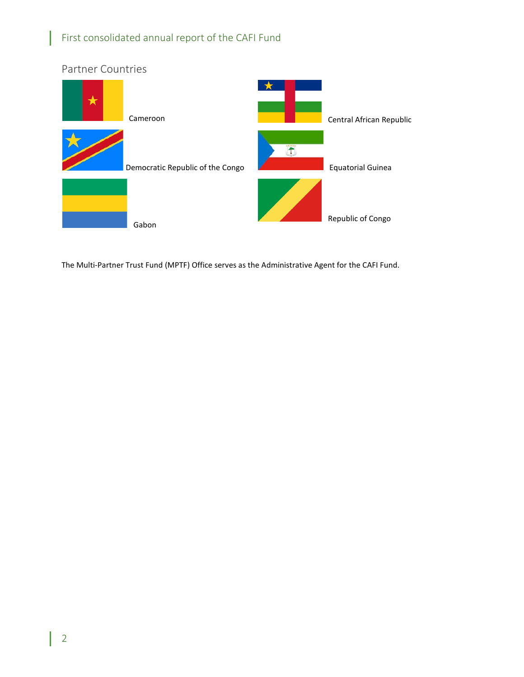<span id="page-2-0"></span>

The Multi-Partner Trust Fund (MPTF) Office serves as the Administrative Agent for the CAFI Fund.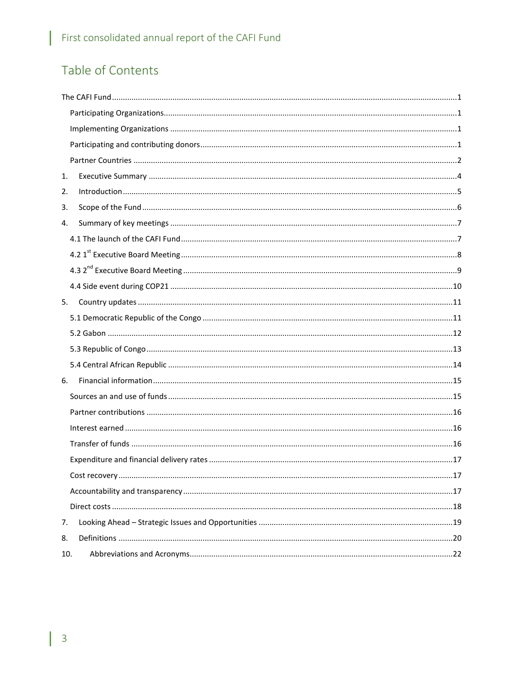# Table of Contents

| 1.                                                                                                                                                                                                                                                |  |
|---------------------------------------------------------------------------------------------------------------------------------------------------------------------------------------------------------------------------------------------------|--|
| $In traditional < 10.1, 10.1, 10.1, 10.1, 10.1, 10.1, 10.1, 10.1, 10.1, 10.1, 10.1, 10.1, 10.1, 10.1, 10.1, 10.1, 10.1, 10.1, 10.1, 10.1, 10.1, 10.1, 10.1, 10.1, 10.1, 10.1, 10.1, 10.1, 10.1, 10.1, 10.1, 10.1, 10.1, 10.1, 10.1, 10.1, $<br>2. |  |
| 3.                                                                                                                                                                                                                                                |  |
| 4.                                                                                                                                                                                                                                                |  |
|                                                                                                                                                                                                                                                   |  |
|                                                                                                                                                                                                                                                   |  |
|                                                                                                                                                                                                                                                   |  |
|                                                                                                                                                                                                                                                   |  |
| 5.                                                                                                                                                                                                                                                |  |
|                                                                                                                                                                                                                                                   |  |
|                                                                                                                                                                                                                                                   |  |
|                                                                                                                                                                                                                                                   |  |
|                                                                                                                                                                                                                                                   |  |
| 6.                                                                                                                                                                                                                                                |  |
|                                                                                                                                                                                                                                                   |  |
|                                                                                                                                                                                                                                                   |  |
|                                                                                                                                                                                                                                                   |  |
|                                                                                                                                                                                                                                                   |  |
|                                                                                                                                                                                                                                                   |  |
|                                                                                                                                                                                                                                                   |  |
|                                                                                                                                                                                                                                                   |  |
|                                                                                                                                                                                                                                                   |  |
| 7.                                                                                                                                                                                                                                                |  |
| 8.                                                                                                                                                                                                                                                |  |
| 10.                                                                                                                                                                                                                                               |  |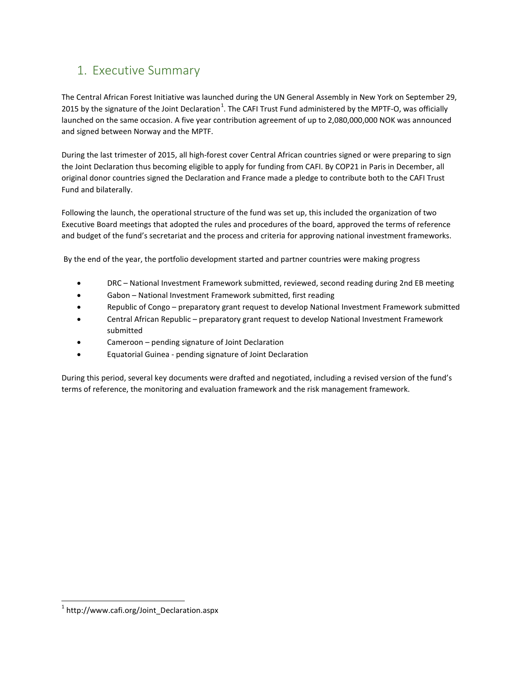# <span id="page-4-0"></span>1. Executive Summary

The Central African Forest Initiative was launched during the UN General Assembly in New York on September 29, 20[1](#page-4-1)5 by the signature of the Joint Declaration<sup>1</sup>. The CAFI Trust Fund administered by the MPTF-O, was officially launched on the same occasion. A five year contribution agreement of up to 2,080,000,000 NOK was announced and signed between Norway and the MPTF.

During the last trimester of 2015, all high-forest cover Central African countries signed or were preparing to sign the Joint Declaration thus becoming eligible to apply for funding from CAFI. By COP21 in Paris in December, all original donor countries signed the Declaration and France made a pledge to contribute both to the CAFI Trust Fund and bilaterally.

Following the launch, the operational structure of the fund was set up, this included the organization of two Executive Board meetings that adopted the rules and procedures of the board, approved the terms of reference and budget of the fund's secretariat and the process and criteria for approving national investment frameworks.

By the end of the year, the portfolio development started and partner countries were making progress

- DRC National Investment Framework submitted, reviewed, second reading during 2nd EB meeting
- Gabon National Investment Framework submitted, first reading
- Republic of Congo preparatory grant request to develop National Investment Framework submitted
- Central African Republic preparatory grant request to develop National Investment Framework submitted
- Cameroon pending signature of Joint Declaration
- Equatorial Guinea pending signature of Joint Declaration

During this period, several key documents were drafted and negotiated, including a revised version of the fund's terms of reference, the monitoring and evaluation framework and the risk management framework.

<span id="page-4-1"></span> $1$  http://www.cafi.org/Joint Declaration.aspx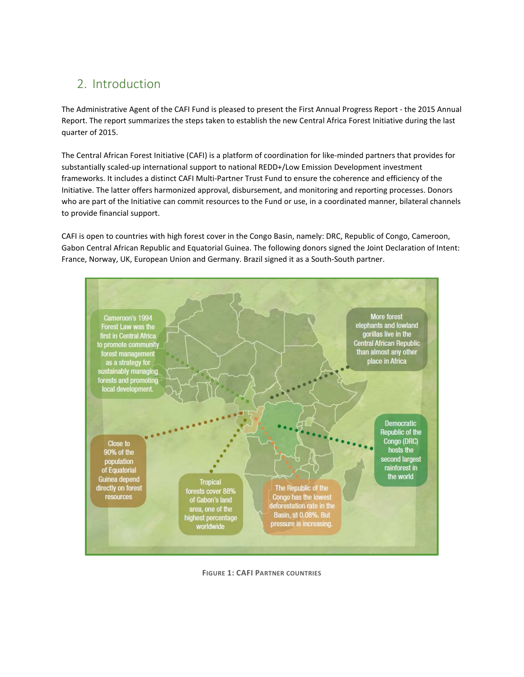# <span id="page-5-0"></span>2. Introduction

The Administrative Agent of the CAFI Fund is pleased to present the First Annual Progress Report - the 2015 Annual Report. The report summarizes the steps taken to establish the new Central Africa Forest Initiative during the last quarter of 2015.

The Central African Forest Initiative (CAFI) is a platform of coordination for like-minded partners that provides for substantially scaled-up international support to national REDD+/Low Emission Development investment frameworks. It includes a distinct CAFI Multi-Partner Trust Fund to ensure the coherence and efficiency of the Initiative. The latter offers harmonized approval, disbursement, and monitoring and reporting processes. Donors who are part of the Initiative can commit resources to the Fund or use, in a coordinated manner, bilateral channels to provide financial support.

CAFI is open to countries with high forest cover in the Congo Basin, namely: DRC, Republic of Congo, Cameroon, Gabon Central African Republic and Equatorial Guinea. The following donors signed the Joint Declaration of Intent: France, Norway, UK, European Union and Germany. Brazil signed it as a South-South partner.



**FIGURE 1: CAFI PARTNER COUNTRIES**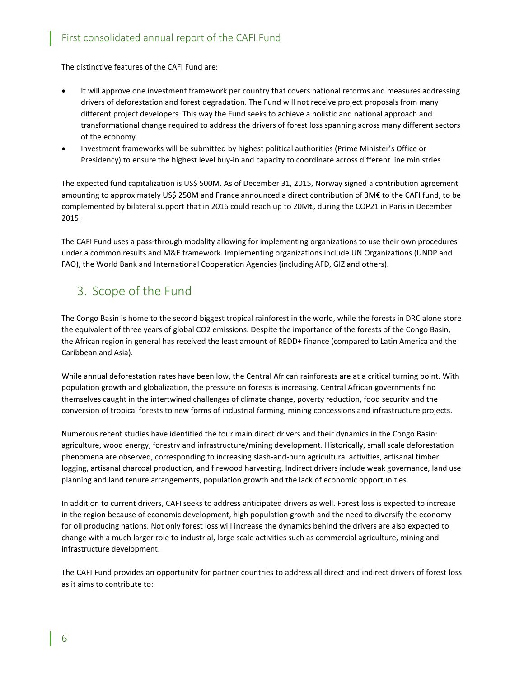The distinctive features of the CAFI Fund are:

- It will approve one investment framework per country that covers national reforms and measures addressing drivers of deforestation and forest degradation. The Fund will not receive project proposals from many different project developers. This way the Fund seeks to achieve a holistic and national approach and transformational change required to address the drivers of forest loss spanning across many different sectors of the economy.
- Investment frameworks will be submitted by highest political authorities (Prime Minister's Office or Presidency) to ensure the highest level buy-in and capacity to coordinate across different line ministries.

The expected fund capitalization is US\$ 500M. As of December 31, 2015, Norway signed a contribution agreement amounting to approximately US\$ 250M and France announced a direct contribution of 3M€ to the CAFI fund, to be complemented by bilateral support that in 2016 could reach up to 20M€, during the COP21 in Paris in December 2015.

The CAFI Fund uses a pass-through modality allowing for implementing organizations to use their own procedures under a common results and M&E framework. Implementing organizations include UN Organizations (UNDP and FAO), the World Bank and International Cooperation Agencies (including AFD, GIZ and others).

# <span id="page-6-0"></span>3. Scope of the Fund

The Congo Basin is home to the second biggest tropical rainforest in the world, while the forests in DRC alone store the equivalent of three years of global CO2 emissions. Despite the importance of the forests of the Congo Basin, the African region in general has received the least amount of REDD+ finance (compared to Latin America and the Caribbean and Asia).

While annual deforestation rates have been low, the Central African rainforests are at a critical turning point. With population growth and globalization, the pressure on forests is increasing. Central African governments find themselves caught in the intertwined challenges of climate change, poverty reduction, food security and the conversion of tropical forests to new forms of industrial farming, mining concessions and infrastructure projects.

Numerous recent studies have identified the four main direct drivers and their dynamics in the Congo Basin: agriculture, wood energy, forestry and infrastructure/mining development. Historically, small scale deforestation phenomena are observed, corresponding to increasing slash-and-burn agricultural activities, artisanal timber logging, artisanal charcoal production, and firewood harvesting. Indirect drivers include weak governance, land use planning and land tenure arrangements, population growth and the lack of economic opportunities.

In addition to current drivers, CAFI seeks to address anticipated drivers as well. Forest loss is expected to increase in the region because of economic development, high population growth and the need to diversify the economy for oil producing nations. Not only forest loss will increase the dynamics behind the drivers are also expected to change with a much larger role to industrial, large scale activities such as commercial agriculture, mining and infrastructure development.

The CAFI Fund provides an opportunity for partner countries to address all direct and indirect drivers of forest loss as it aims to contribute to: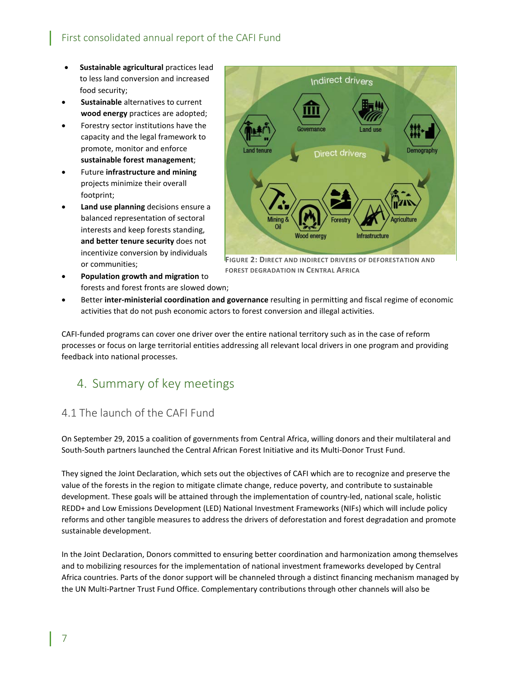- **Sustainable agricultural** practices lead to less land conversion and increased food security;
- **Sustainable** alternatives to current **wood energy** practices are adopted;
- Forestry sector institutions have the capacity and the legal framework to promote, monitor and enforce **sustainable forest management**;
- Future **infrastructure and mining** projects minimize their overall footprint;
- **Land use planning** decisions ensure a balanced representation of sectoral interests and keep forests standing, **and better tenure security** does not incentivize conversion by individuals or communities;
- Indirect drivers overnance Direct drivers **Wood energy** Infrastructure

**FIGURE 2: DIRECT AND INDIRECT DRIVERS OF DEFORESTATION AND FOREST DEGRADATION IN CENTRAL AFRICA**

- **Population growth and migration** to forests and forest fronts are slowed down;
- Better **inter-ministerial coordination and governance** resulting in permitting and fiscal regime of economic activities that do not push economic actors to forest conversion and illegal activities.

CAFI-funded programs can cover one driver over the entire national territory such as in the case of reform processes or focus on large territorial entities addressing all relevant local drivers in one program and providing feedback into national processes.

# <span id="page-7-0"></span>4. Summary of key meetings

# <span id="page-7-1"></span>4.1 The launch of the CAFI Fund

On September 29, 2015 a coalition of governments from Central Africa, willing donors and their multilateral and South-South partners launched the Central African Forest Initiative and its Multi-Donor Trust Fund.

They signed the Joint Declaration, which sets out the objectives of CAFI which are to recognize and preserve the value of the forests in the region to mitigate climate change, reduce poverty, and contribute to sustainable development. These goals will be attained through the implementation of country-led, national scale, holistic REDD+ and Low Emissions Development (LED) National Investment Frameworks (NIFs) which will include policy reforms and other tangible measures to address the drivers of deforestation and forest degradation and promote sustainable development.

In the Joint Declaration, Donors committed to ensuring better coordination and harmonization among themselves and to mobilizing resources for the implementation of national investment frameworks developed by Central Africa countries. Parts of the donor support will be channeled through a distinct financing mechanism managed by the UN Multi-Partner Trust Fund Office. Complementary contributions through other channels will also be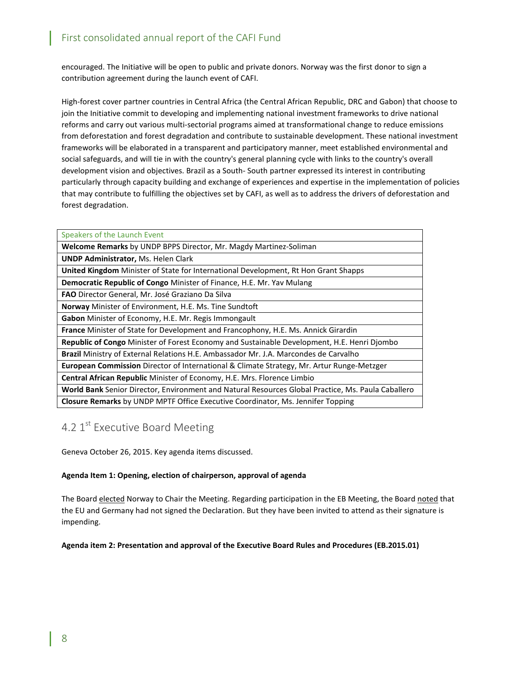encouraged. The Initiative will be open to public and private donors. Norway was the first donor to sign a contribution agreement during the launch event of CAFI.

High-forest cover partner countries in Central Africa (the Central African Republic, DRC and Gabon) that choose to join the Initiative commit to developing and implementing national investment frameworks to drive national reforms and carry out various multi-sectorial programs aimed at transformational change to reduce emissions from deforestation and forest degradation and contribute to sustainable development. These national investment frameworks will be elaborated in a transparent and participatory manner, meet established environmental and social safeguards, and will tie in with the country's general planning cycle with links to the country's overall development vision and objectives. Brazil as a South- South partner expressed its interest in contributing particularly through capacity building and exchange of experiences and expertise in the implementation of policies that may contribute to fulfilling the objectives set by CAFI, as well as to address the drivers of deforestation and forest degradation.

| Speakers of the Launch Event                                                                       |
|----------------------------------------------------------------------------------------------------|
| Welcome Remarks by UNDP BPPS Director, Mr. Magdy Martinez-Soliman                                  |
| <b>UNDP Administrator, Ms. Helen Clark</b>                                                         |
| <b>United Kingdom</b> Minister of State for International Development, Rt Hon Grant Shapps         |
| <b>Democratic Republic of Congo Minister of Finance, H.E. Mr. Yav Mulang</b>                       |
| FAO Director General, Mr. José Graziano Da Silva                                                   |
| Norway Minister of Environment, H.E. Ms. Tine Sundtoft                                             |
| Gabon Minister of Economy, H.E. Mr. Regis Immongault                                               |
| <b>France</b> Minister of State for Development and Francophony, H.E. Ms. Annick Girardin          |
| Republic of Congo Minister of Forest Economy and Sustainable Development, H.E. Henri Djombo        |
| Brazil Ministry of External Relations H.E. Ambassador Mr. J.A. Marcondes de Carvalho               |
| <b>European Commission</b> Director of International & Climate Strategy, Mr. Artur Runge-Metzger   |
| <b>Central African Republic Minister of Economy, H.E. Mrs. Florence Limbio</b>                     |
| World Bank Senior Director, Environment and Natural Resources Global Practice, Ms. Paula Caballero |
| <b>Closure Remarks</b> by UNDP MPTF Office Executive Coordinator, Ms. Jennifer Topping             |

# <span id="page-8-0"></span>4.2 1st Executive Board Meeting

Geneva October 26, 2015. Key agenda items discussed.

### **Agenda Item 1: Opening, election of chairperson, approval of agenda**

The Board elected Norway to Chair the Meeting. Regarding participation in the EB Meeting, the Board noted that the EU and Germany had not signed the Declaration. But they have been invited to attend as their signature is impending.

### **Agenda item 2: Presentation and approval of the Executive Board Rules and Procedures (EB.2015.01)**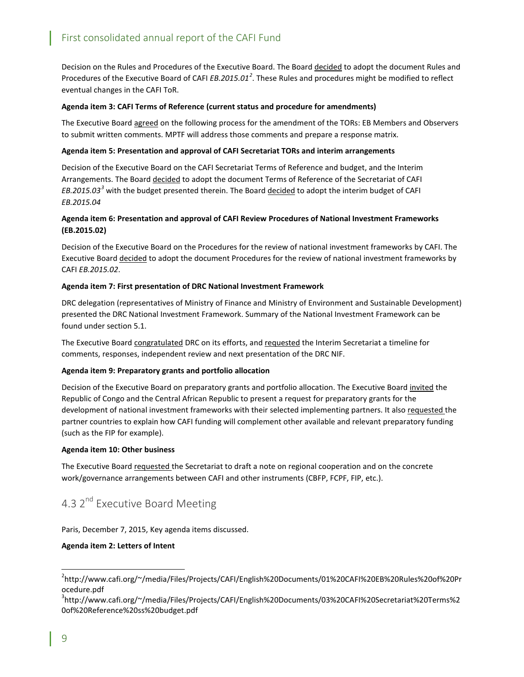Decision on the Rules and Procedures of the Executive Board. The Board decided to adopt the document Rules and Procedures of the Executive Board of CAFI *EB.2015.01[2](#page-9-1)* . These Rules and procedures might be modified to reflect eventual changes in the CAFI ToR.

### **Agenda item 3: CAFI Terms of Reference (current status and procedure for amendments)**

The Executive Board agreed on the following process for the amendment of the TORs: EB Members and Observers to submit written comments. MPTF will address those comments and prepare a response matrix.

#### **Agenda item 5: Presentation and approval of CAFI Secretariat TORs and interim arrangements**

Decision of the Executive Board on the CAFI Secretariat Terms of Reference and budget, and the Interim Arrangements. The Board decided to adopt the document Terms of Reference of the Secretariat of CAFI *EB.2015.03[3](#page-9-2)* with the budget presented therein. The Board decided to adopt the interim budget of CAFI *EB.2015.04*

### **Agenda item 6: Presentation and approval of CAFI Review Procedures of National Investment Frameworks (EB.2015.02)**

Decision of the Executive Board on the Procedures for the review of national investment frameworks by CAFI. The Executive Board decided to adopt the document Procedures for the review of national investment frameworks by CAFI *EB.2015.02*.

#### **Agenda item 7: First presentation of DRC National Investment Framework**

DRC delegation (representatives of Ministry of Finance and Ministry of Environment and Sustainable Development) presented the DRC National Investment Framework. Summary of the National Investment Framework can be found under section 5.1.

The Executive Board congratulated DRC on its efforts, and requested the Interim Secretariat a timeline for comments, responses, independent review and next presentation of the DRC NIF.

#### **Agenda item 9: Preparatory grants and portfolio allocation**

Decision of the Executive Board on preparatory grants and portfolio allocation. The Executive Board invited the Republic of Congo and the Central African Republic to present a request for preparatory grants for the development of national investment frameworks with their selected implementing partners. It also requested the partner countries to explain how CAFI funding will complement other available and relevant preparatory funding (such as the FIP for example).

#### **Agenda item 10: Other business**

The Executive Board requested the Secretariat to draft a note on regional cooperation and on the concrete work/governance arrangements between CAFI and other instruments (CBFP, FCPF, FIP, etc.).

# <span id="page-9-0"></span>4.3 2<sup>nd</sup> Executive Board Meeting

Paris, December 7, 2015, Key agenda items discussed.

### **Agenda item 2: Letters of Intent**

<span id="page-9-1"></span> <sup>2</sup> http://www.cafi.org/~/media/Files/Projects/CAFI/English%20Documents/01%20CAFI%20EB%20Rules%20of%20Pr ocedure.pdf

<span id="page-9-2"></span><sup>3</sup> http://www.cafi.org/~/media/Files/Projects/CAFI/English%20Documents/03%20CAFI%20Secretariat%20Terms%2 0of%20Reference%20ss%20budget.pdf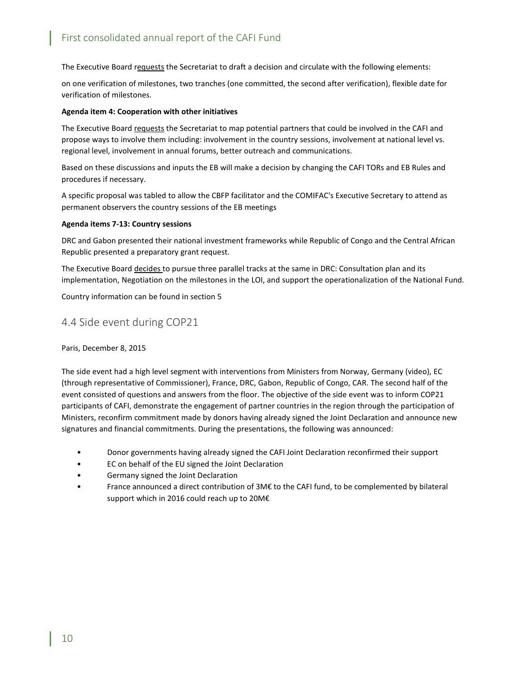The Executive Board requests the Secretariat to draft a decision and circulate with the following elements:

on one verification of milestones, two tranches (one committed, the second after verification), flexible date for verification of milestones.

### **Agenda item 4: Cooperation with other initiatives**

The Executive Board requests the Secretariat to map potential partners that could be involved in the CAFI and propose ways to involve them including: involvement in the country sessions, involvement at national level vs. regional level, involvement in annual forums, better outreach and communications.

Based on these discussions and inputs the EB will make a decision by changing the CAFI TORs and EB Rules and procedures if necessary.

A specific proposal was tabled to allow the CBFP facilitator and the COMIFAC's Executive Secretary to attend as permanent observers the country sessions of the EB meetings

#### **Agenda items 7-13: Country sessions**

DRC and Gabon presented their national investment frameworks while Republic of Congo and the Central African Republic presented a preparatory grant request.

The Executive Board decides to pursue three parallel tracks at the same in DRC: Consultation plan and its implementation, Negotiation on the milestones in the LOI, and support the operationalization of the National Fund.

Country information can be found in section 5

### <span id="page-10-0"></span>4.4 Side event during COP21

### Paris, December 8, 2015

The side event had a high level segment with interventions from Ministers from Norway, Germany (video), EC (through representative of Commissioner), France, DRC, Gabon, Republic of Congo, CAR. The second half of the event consisted of questions and answers from the floor. The objective of the side event was to inform COP21 participants of CAFI, demonstrate the engagement of partner countries in the region through the participation of Ministers, reconfirm commitment made by donors having already signed the Joint Declaration and announce new signatures and financial commitments. During the presentations, the following was announced:

- Donor governments having already signed the CAFI Joint Declaration reconfirmed their support
- EC on behalf of the EU signed the Joint Declaration
- Germany signed the Joint Declaration
- France announced a direct contribution of 3M€ to the CAFI fund, to be complemented by bilateral support which in 2016 could reach up to 20M€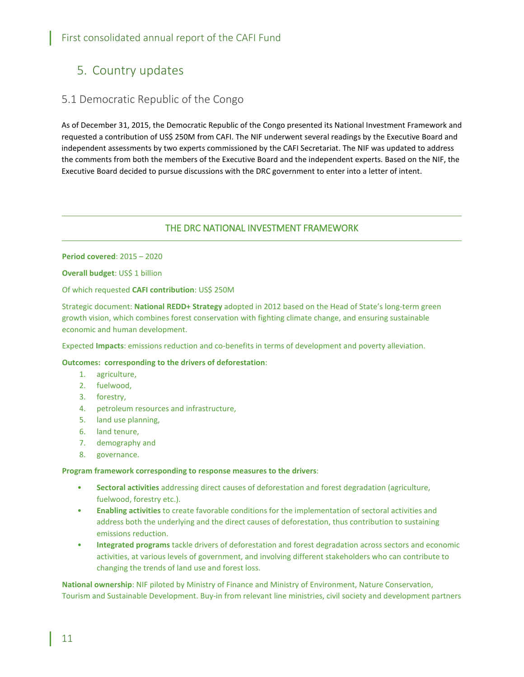# <span id="page-11-0"></span>5. Country updates

### <span id="page-11-1"></span>5.1 Democratic Republic of the Congo

As of December 31, 2015, the Democratic Republic of the Congo presented its National Investment Framework and requested a contribution of US\$ 250M from CAFI. The NIF underwent several readings by the Executive Board and independent assessments by two experts commissioned by the CAFI Secretariat. The NIF was updated to address the comments from both the members of the Executive Board and the independent experts. Based on the NIF, the Executive Board decided to pursue discussions with the DRC government to enter into a letter of intent.

### THE DRC NATIONAL INVESTMENT FRAMEWORK

**Period covered**: 2015 – 2020

**Overall budget: US\$ 1 billion** 

Of which requested **CAFI contribution**: US\$ 250M

Strategic document: **National REDD+ Strategy** adopted in 2012 based on the Head of State's long-term green growth vision, which combines forest conservation with fighting climate change, and ensuring sustainable economic and human development.

Expected **Impacts**: emissions reduction and co-benefits in terms of development and poverty alleviation.

### **Outcomes: corresponding to the drivers of deforestation**:

- 1. agriculture,
- 2. fuelwood,
- 3. forestry,
- 4. petroleum resources and infrastructure,
- 5. land use planning,
- 6. land tenure,
- 7. demography and
- 8. governance.

#### **Program framework corresponding to response measures to the drivers**:

- **Sectoral activities** addressing direct causes of deforestation and forest degradation (agriculture, fuelwood, forestry etc.).
- **Enabling activities** to create favorable conditions for the implementation of sectoral activities and address both the underlying and the direct causes of deforestation, thus contribution to sustaining emissions reduction.
- **Integrated programs** tackle drivers of deforestation and forest degradation across sectors and economic activities, at various levels of government, and involving different stakeholders who can contribute to changing the trends of land use and forest loss.

**National ownership**: NIF piloted by Ministry of Finance and Ministry of Environment, Nature Conservation, Tourism and Sustainable Development. Buy-in from relevant line ministries, civil society and development partners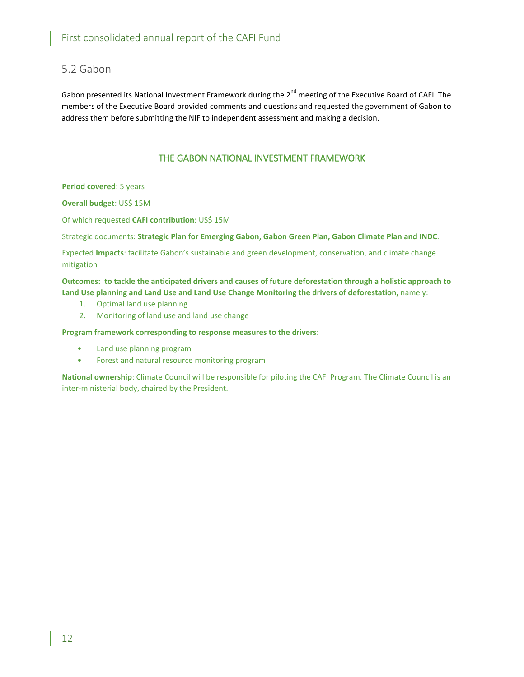### <span id="page-12-0"></span>5.2 Gabon

Gabon presented its National Investment Framework during the  $2^{nd}$  meeting of the Executive Board of CAFI. The members of the Executive Board provided comments and questions and requested the government of Gabon to address them before submitting the NIF to independent assessment and making a decision.

### THE GABON NATIONAL INVESTMENT FRAMEWORK

**Period covered**: 5 years

**Overall budget**: US\$ 15M

Of which requested **CAFI contribution**: US\$ 15M

Strategic documents: **Strategic Plan for Emerging Gabon, Gabon Green Plan, Gabon Climate Plan and INDC**.

Expected **Impacts**: facilitate Gabon's sustainable and green development, conservation, and climate change mitigation

**Outcomes: to tackle the anticipated drivers and causes of future deforestation through a holistic approach to Land Use planning and Land Use and Land Use Change Monitoring the drivers of deforestation,** namely:

- 1. Optimal land use planning
- 2. Monitoring of land use and land use change

**Program framework corresponding to response measures to the drivers**:

- Land use planning program
- Forest and natural resource monitoring program

**National ownership**: Climate Council will be responsible for piloting the CAFI Program. The Climate Council is an inter-ministerial body, chaired by the President.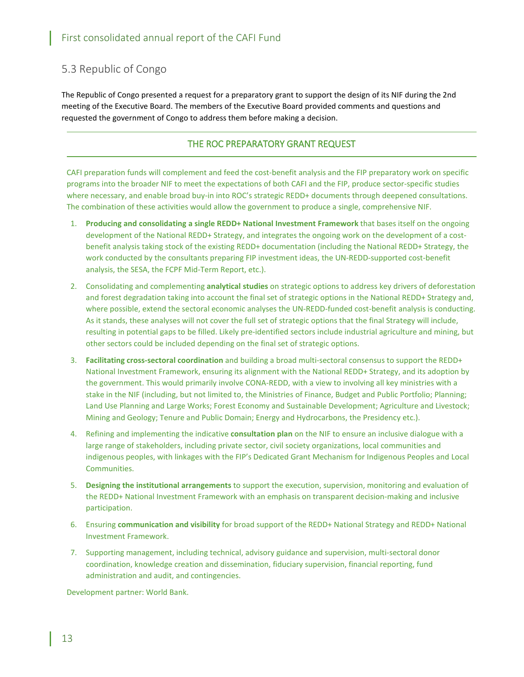# <span id="page-13-0"></span>5.3 Republic of Congo

The Republic of Congo presented a request for a preparatory grant to support the design of its NIF during the 2nd meeting of the Executive Board. The members of the Executive Board provided comments and questions and requested the government of Congo to address them before making a decision.

### THE ROC PREPARATORY GRANT REQUEST

CAFI preparation funds will complement and feed the cost-benefit analysis and the FIP preparatory work on specific programs into the broader NIF to meet the expectations of both CAFI and the FIP, produce sector-specific studies where necessary, and enable broad buy-in into ROC's strategic REDD+ documents through deepened consultations. The combination of these activities would allow the government to produce a single, comprehensive NIF.

- 1. **Producing and consolidating a single REDD+ National Investment Framework** that bases itself on the ongoing development of the National REDD+ Strategy, and integrates the ongoing work on the development of a costbenefit analysis taking stock of the existing REDD+ documentation (including the National REDD+ Strategy, the work conducted by the consultants preparing FIP investment ideas, the UN-REDD-supported cost-benefit analysis, the SESA, the FCPF Mid-Term Report, etc.).
- 2. Consolidating and complementing **analytical studies** on strategic options to address key drivers of deforestation and forest degradation taking into account the final set of strategic options in the National REDD+ Strategy and, where possible, extend the sectoral economic analyses the UN-REDD-funded cost-benefit analysis is conducting. As it stands, these analyses will not cover the full set of strategic options that the final Strategy will include, resulting in potential gaps to be filled. Likely pre-identified sectors include industrial agriculture and mining, but other sectors could be included depending on the final set of strategic options.
- 3. **Facilitating cross-sectoral coordination** and building a broad multi-sectoral consensus to support the REDD+ National Investment Framework, ensuring its alignment with the National REDD+ Strategy, and its adoption by the government. This would primarily involve CONA-REDD, with a view to involving all key ministries with a stake in the NIF (including, but not limited to, the Ministries of Finance, Budget and Public Portfolio; Planning; Land Use Planning and Large Works; Forest Economy and Sustainable Development; Agriculture and Livestock; Mining and Geology; Tenure and Public Domain; Energy and Hydrocarbons, the Presidency etc.).
- 4. Refining and implementing the indicative **consultation plan** on the NIF to ensure an inclusive dialogue with a large range of stakeholders, including private sector, civil society organizations, local communities and indigenous peoples, with linkages with the FIP's Dedicated Grant Mechanism for Indigenous Peoples and Local Communities.
- 5. **Designing the institutional arrangements** to support the execution, supervision, monitoring and evaluation of the REDD+ National Investment Framework with an emphasis on transparent decision-making and inclusive participation.
- 6. Ensuring **communication and visibility** for broad support of the REDD+ National Strategy and REDD+ National Investment Framework.
- 7. Supporting management, including technical, advisory guidance and supervision, multi-sectoral donor coordination, knowledge creation and dissemination, fiduciary supervision, financial reporting, fund administration and audit, and contingencies.

Development partner: World Bank.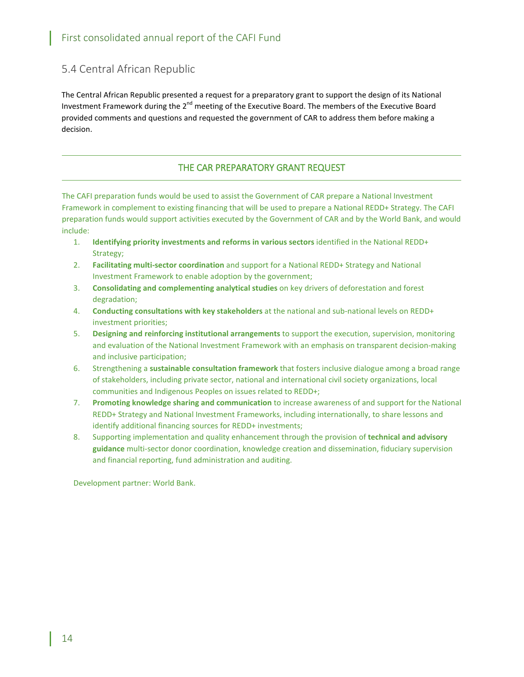# <span id="page-14-0"></span>5.4 Central African Republic

The Central African Republic presented a request for a preparatory grant to support the design of its National Investment Framework during the 2<sup>nd</sup> meeting of the Executive Board. The members of the Executive Board provided comments and questions and requested the government of CAR to address them before making a decision.

### THE CAR PREPARATORY GRANT REQUEST

The CAFI preparation funds would be used to assist the Government of CAR prepare a National Investment Framework in complement to existing financing that will be used to prepare a National REDD+ Strategy. The CAFI preparation funds would support activities executed by the Government of CAR and by the World Bank, and would include:

- 1. **Identifying priority investments and reforms in various sectors** identified in the National REDD+ Strategy;
- 2. **Facilitating multi-sector coordination** and support for a National REDD+ Strategy and National Investment Framework to enable adoption by the government;
- 3. **Consolidating and complementing analytical studies** on key drivers of deforestation and forest degradation;
- 4. **Conducting consultations with key stakeholders** at the national and sub-national levels on REDD+ investment priorities;
- 5. **Designing and reinforcing institutional arrangements** to support the execution, supervision, monitoring and evaluation of the National Investment Framework with an emphasis on transparent decision-making and inclusive participation;
- 6. Strengthening a **sustainable consultation framework** that fosters inclusive dialogue among a broad range of stakeholders, including private sector, national and international civil society organizations, local communities and Indigenous Peoples on issues related to REDD+;
- 7. **Promoting knowledge sharing and communication** to increase awareness of and support for the National REDD+ Strategy and National Investment Frameworks, including internationally, to share lessons and identify additional financing sources for REDD+ investments;
- 8. Supporting implementation and quality enhancement through the provision of **technical and advisory guidance** multi-sector donor coordination, knowledge creation and dissemination, fiduciary supervision and financial reporting, fund administration and auditing.

Development partner: World Bank.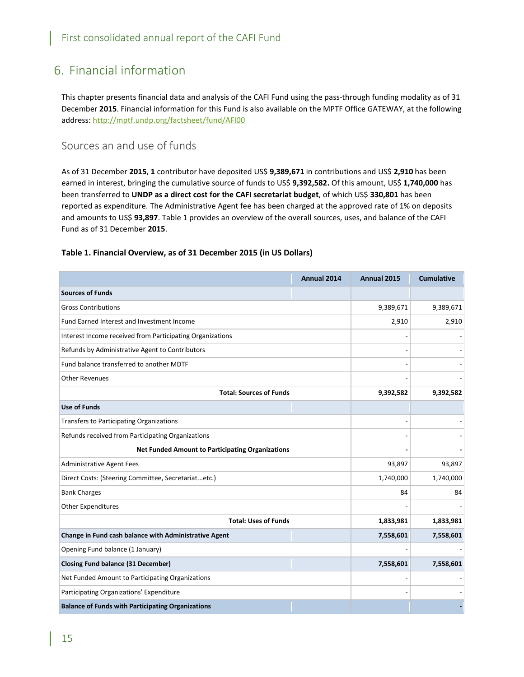# <span id="page-15-0"></span>6. Financial information

This chapter presents financial data and analysis of the CAFI Fund using the pass-through funding modality as of 31 December **2015**. Financial information for this Fund is also available on the MPTF Office GATEWAY, at the following address: <http://mptf.undp.org/factsheet/fund/AFI00>

### <span id="page-15-1"></span>Sources an and use of funds

As of 31 December **2015**, **1** contributor have deposited US\$ **9,389,671** in contributions and US\$ **2,910** has been earned in interest, bringing the cumulative source of funds to US\$ **9,392,582.** Of this amount, US\$ **1,740,000** has been transferred to **UNDP as a direct cost for the CAFI secretariat budget**, of which US\$ **330,801** has been reported as expenditure. The Administrative Agent fee has been charged at the approved rate of 1% on deposits and amounts to US\$ **93,897**. Table 1 provides an overview of the overall sources, uses, and balance of the CAFI Fund as of 31 December **2015**.

### **Table 1. Financial Overview, as of 31 December 2015 (in US Dollars)**

|                                                           | Annual 2014 | Annual 2015 | <b>Cumulative</b> |
|-----------------------------------------------------------|-------------|-------------|-------------------|
| <b>Sources of Funds</b>                                   |             |             |                   |
| <b>Gross Contributions</b>                                |             | 9,389,671   | 9,389,671         |
| Fund Earned Interest and Investment Income                |             | 2,910       | 2,910             |
| Interest Income received from Participating Organizations |             |             |                   |
| Refunds by Administrative Agent to Contributors           |             |             |                   |
| Fund balance transferred to another MDTF                  |             |             |                   |
| <b>Other Revenues</b>                                     |             |             |                   |
| <b>Total: Sources of Funds</b>                            |             | 9,392,582   | 9,392,582         |
| <b>Use of Funds</b>                                       |             |             |                   |
| <b>Transfers to Participating Organizations</b>           |             |             |                   |
| Refunds received from Participating Organizations         |             |             |                   |
| <b>Net Funded Amount to Participating Organizations</b>   |             |             |                   |
| <b>Administrative Agent Fees</b>                          |             | 93,897      | 93,897            |
| Direct Costs: (Steering Committee, Secretariatetc.)       |             | 1,740,000   | 1,740,000         |
| <b>Bank Charges</b>                                       |             | 84          | 84                |
| Other Expenditures                                        |             |             |                   |
| <b>Total: Uses of Funds</b>                               |             | 1,833,981   | 1,833,981         |
| Change in Fund cash balance with Administrative Agent     |             | 7,558,601   | 7,558,601         |
| Opening Fund balance (1 January)                          |             |             |                   |
| <b>Closing Fund balance (31 December)</b>                 |             | 7,558,601   | 7,558,601         |
| Net Funded Amount to Participating Organizations          |             |             |                   |
| Participating Organizations' Expenditure                  |             |             |                   |
| <b>Balance of Funds with Participating Organizations</b>  |             |             |                   |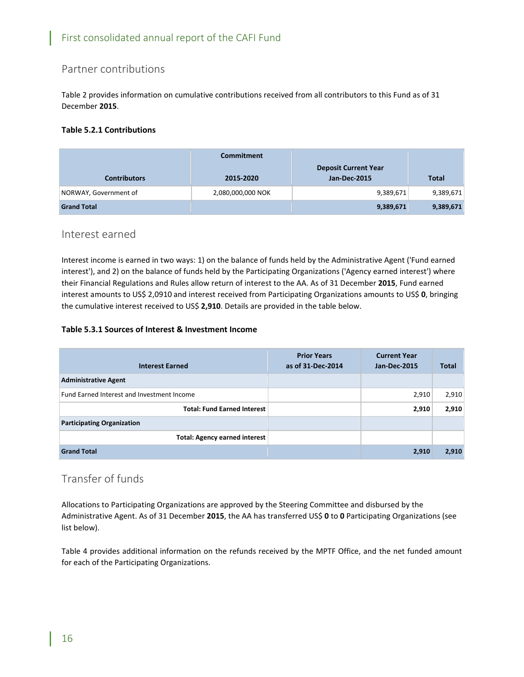# <span id="page-16-0"></span>Partner contributions

Table 2 provides information on cumulative contributions received from all contributors to this Fund as of 31 December **2015**.

### **Table 5.2.1 Contributions**

|                       | <b>Commitment</b> |                             |              |
|-----------------------|-------------------|-----------------------------|--------------|
|                       |                   | <b>Deposit Current Year</b> |              |
| <b>Contributors</b>   | 2015-2020         | Jan-Dec-2015                | <b>Total</b> |
| NORWAY, Government of | 2,080,000,000 NOK | 9,389,671                   | 9,389,671    |
| <b>Grand Total</b>    |                   | 9,389,671                   | 9,389,671    |

### <span id="page-16-1"></span>Interest earned

Interest income is earned in two ways: 1) on the balance of funds held by the Administrative Agent ('Fund earned interest'), and 2) on the balance of funds held by the Participating Organizations ('Agency earned interest') where their Financial Regulations and Rules allow return of interest to the AA. As of 31 December **2015**, Fund earned interest amounts to US\$ 2,0910 and interest received from Participating Organizations amounts to US\$ **0**, bringing the cumulative interest received to US\$ **2,910**. Details are provided in the table below.

### **Table 5.3.1 Sources of Interest & Investment Income**

| <b>Interest Earned</b>                            | <b>Prior Years</b><br>as of 31-Dec-2014 | <b>Current Year</b><br><b>Jan-Dec-2015</b> | <b>Total</b> |
|---------------------------------------------------|-----------------------------------------|--------------------------------------------|--------------|
| <b>Administrative Agent</b>                       |                                         |                                            |              |
| <b>Fund Earned Interest and Investment Income</b> |                                         | 2,910                                      | 2,910        |
| <b>Total: Fund Earned Interest</b>                |                                         | 2,910                                      | 2,910        |
| <b>Participating Organization</b>                 |                                         |                                            |              |
| <b>Total: Agency earned interest</b>              |                                         |                                            |              |
| <b>Grand Total</b>                                |                                         | 2,910                                      | 2,910        |

### <span id="page-16-2"></span>Transfer of funds

Allocations to Participating Organizations are approved by the Steering Committee and disbursed by the Administrative Agent. As of 31 December **2015**, the AA has transferred US\$ **0** to **0** Participating Organizations (see list below).

Table 4 provides additional information on the refunds received by the MPTF Office, and the net funded amount for each of the Participating Organizations.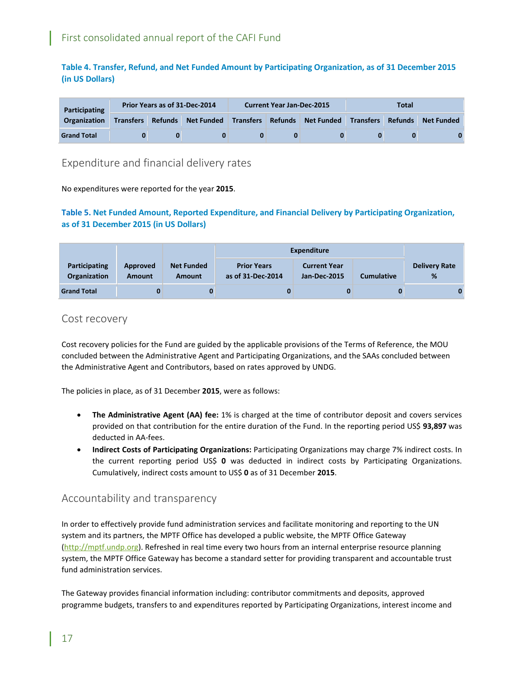**Table 4. Transfer, Refund, and Net Funded Amount by Participating Organization, as of 31 December 2015 (in US Dollars)**

| <b>Participating</b> |  | Prior Years as of 31-Dec-2014<br><b>Current Year Jan-Dec-2015</b><br>Total  |  |  |  |  |  |                   |
|----------------------|--|-----------------------------------------------------------------------------|--|--|--|--|--|-------------------|
| <b>Organization</b>  |  | Transfers Refunds Net Funded Transfers Refunds Net Funded Transfers Refunds |  |  |  |  |  | <b>Net Funded</b> |
| <b>Grand Total</b>   |  | 0                                                                           |  |  |  |  |  |                   |

### <span id="page-17-0"></span>Expenditure and financial delivery rates

No expenditures were reported for the year **2015**.

### **Table 5. Net Funded Amount, Reported Expenditure, and Financial Delivery by Participating Organization, as of 31 December 2015 (in US Dollars)**

|                                             |                           |                                    | Expenditure                             |                                            |                   |                           |
|---------------------------------------------|---------------------------|------------------------------------|-----------------------------------------|--------------------------------------------|-------------------|---------------------------|
| <b>Participating</b><br><b>Organization</b> | Approved<br><b>Amount</b> | <b>Net Funded</b><br><b>Amount</b> | <b>Prior Years</b><br>as of 31-Dec-2014 | <b>Current Year</b><br><b>Jan-Dec-2015</b> | <b>Cumulative</b> | <b>Delivery Rate</b><br>% |
| <b>Grand Total</b>                          |                           |                                    | 0                                       |                                            |                   |                           |

### <span id="page-17-1"></span>Cost recovery

Cost recovery policies for the Fund are guided by the applicable provisions of the Terms of Reference, the MOU concluded between the Administrative Agent and Participating Organizations, and the SAAs concluded between the Administrative Agent and Contributors, based on rates approved by UNDG.

The policies in place, as of 31 December **2015**, were as follows:

- **The Administrative Agent (AA) fee:** 1% is charged at the time of contributor deposit and covers services provided on that contribution for the entire duration of the Fund. In the reporting period US\$ **93,897** was deducted in AA-fees.
- **Indirect Costs of Participating Organizations:** Participating Organizations may charge 7% indirect costs. In the current reporting period US\$ **0** was deducted in indirect costs by Participating Organizations. Cumulatively, indirect costs amount to US\$ **0** as of 31 December **2015**.

### <span id="page-17-2"></span>Accountability and transparency

In order to effectively provide fund administration services and facilitate monitoring and reporting to the UN system and its partners, the MPTF Office has developed a public website, the MPTF Office Gateway [\(http://mptf.undp.org\)](http://mptf.undp.org/). Refreshed in real time every two hours from an internal enterprise resource planning system, the MPTF Office Gateway has become a standard setter for providing transparent and accountable trust fund administration services.

The Gateway provides financial information including: contributor commitments and deposits, approved programme budgets, transfers to and expenditures reported by Participating Organizations, interest income and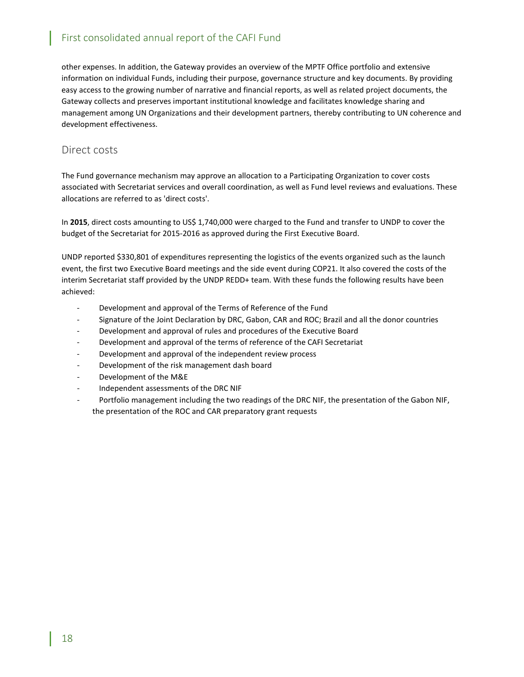other expenses. In addition, the Gateway provides an overview of the MPTF Office portfolio and extensive information on individual Funds, including their purpose, governance structure and key documents. By providing easy access to the growing number of narrative and financial reports, as well as related project documents, the Gateway collects and preserves important institutional knowledge and facilitates knowledge sharing and management among UN Organizations and their development partners, thereby contributing to UN coherence and development effectiveness.

### <span id="page-18-0"></span>Direct costs

The Fund governance mechanism may approve an allocation to a Participating Organization to cover costs associated with Secretariat services and overall coordination, as well as Fund level reviews and evaluations. These allocations are referred to as 'direct costs'.

In **2015**, direct costs amounting to US\$ 1,740,000 were charged to the Fund and transfer to UNDP to cover the budget of the Secretariat for 2015-2016 as approved during the First Executive Board.

UNDP reported \$330,801 of expenditures representing the logistics of the events organized such as the launch event, the first two Executive Board meetings and the side event during COP21. It also covered the costs of the interim Secretariat staff provided by the UNDP REDD+ team. With these funds the following results have been achieved:

- Development and approval of the Terms of Reference of the Fund
- Signature of the Joint Declaration by DRC, Gabon, CAR and ROC; Brazil and all the donor countries
- Development and approval of rules and procedures of the Executive Board
- Development and approval of the terms of reference of the CAFI Secretariat
- Development and approval of the independent review process
- Development of the risk management dash board
- Development of the M&E
- Independent assessments of the DRC NIF
- Portfolio management including the two readings of the DRC NIF, the presentation of the Gabon NIF, the presentation of the ROC and CAR preparatory grant requests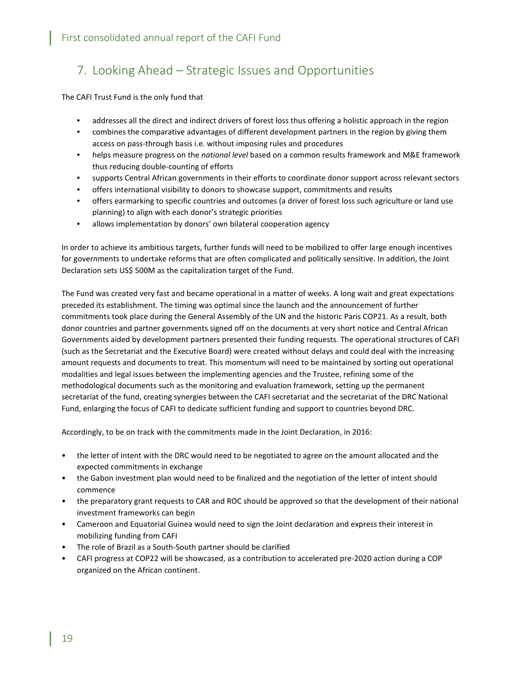# <span id="page-19-0"></span>7. Looking Ahead – Strategic Issues and Opportunities

The CAFI Trust Fund is the only fund that

- addresses all the direct and indirect drivers of forest loss thus offering a holistic approach in the region
- combines the comparative advantages of different development partners in the region by giving them access on pass-through basis i.e. without imposing rules and procedures
- helps measure progress on the *national level* based on a common results framework and M&E framework thus reducing double-counting of efforts
- supports Central African governments in their efforts to coordinate donor support across relevant sectors
- offers international visibility to donors to showcase support, commitments and results
- offers earmarking to specific countries and outcomes (a driver of forest loss such agriculture or land use planning) to align with each donor's strategic priorities
- allows implementation by donors' own bilateral cooperation agency

In order to achieve its ambitious targets, further funds will need to be mobilized to offer large enough incentives for governments to undertake reforms that are often complicated and politically sensitive. In addition, the Joint Declaration sets US\$ 500M as the capitalization target of the Fund.

The Fund was created very fast and became operational in a matter of weeks. A long wait and great expectations preceded its establishment. The timing was optimal since the launch and the announcement of further commitments took place during the General Assembly of the UN and the historic Paris COP21. As a result, both donor countries and partner governments signed off on the documents at very short notice and Central African Governments aided by development partners presented their funding requests. The operational structures of CAFI (such as the Secretariat and the Executive Board) were created without delays and could deal with the increasing amount requests and documents to treat. This momentum will need to be maintained by sorting out operational modalities and legal issues between the implementing agencies and the Trustee, refining some of the methodological documents such as the monitoring and evaluation framework, setting up the permanent secretariat of the fund, creating synergies between the CAFI secretariat and the secretariat of the DRC National Fund, enlarging the focus of CAFI to dedicate sufficient funding and support to countries beyond DRC.

Accordingly, to be on track with the commitments made in the Joint Declaration, in 2016:

- the letter of intent with the DRC would need to be negotiated to agree on the amount allocated and the expected commitments in exchange
- the Gabon investment plan would need to be finalized and the negotiation of the letter of intent should commence
- the preparatory grant requests to CAR and ROC should be approved so that the development of their national investment frameworks can begin
- Cameroon and Equatorial Guinea would need to sign the Joint declaration and express their interest in mobilizing funding from CAFI
- The role of Brazil as a South-South partner should be clarified
- CAFI progress at COP22 will be showcased, as a contribution to accelerated pre-2020 action during a COP organized on the African continent.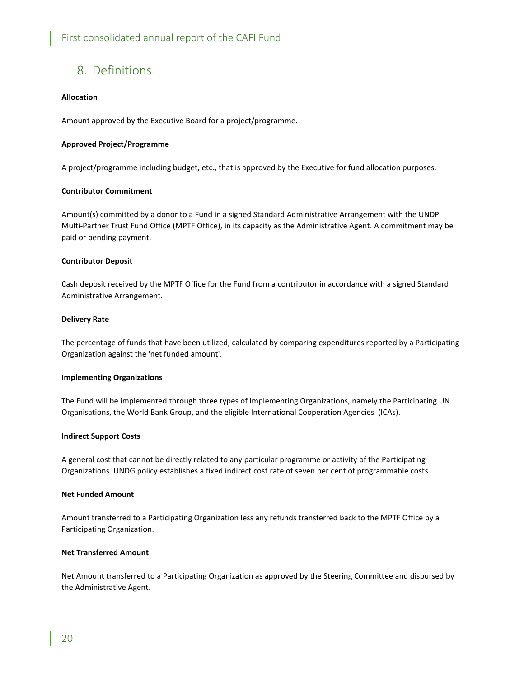# <span id="page-20-0"></span>8. Definitions

### **Allocation**

Amount approved by the Executive Board for a project/programme.

### **Approved Project/Programme**

A project/programme including budget, etc., that is approved by the Executive for fund allocation purposes.

### **Contributor Commitment**

Amount(s) committed by a donor to a Fund in a signed Standard Administrative Arrangement with the UNDP Multi-Partner Trust Fund Office (MPTF Office), in its capacity as the Administrative Agent. A commitment may be paid or pending payment.

### **Contributor Deposit**

Cash deposit received by the MPTF Office for the Fund from a contributor in accordance with a signed Standard Administrative Arrangement.

### **Delivery Rate**

The percentage of funds that have been utilized, calculated by comparing expenditures reported by a Participating Organization against the 'net funded amount'.

### **Implementing Organizations**

The Fund will be implemented through three types of Implementing Organizations, namely the Participating UN Organisations, the World Bank Group, and the eligible International Cooperation Agencies (ICAs).

### **Indirect Support Costs**

A general cost that cannot be directly related to any particular programme or activity of the Participating Organizations. UNDG policy establishes a fixed indirect cost rate of seven per cent of programmable costs.

### **Net Funded Amount**

Amount transferred to a Participating Organization less any refunds transferred back to the MPTF Office by a Participating Organization.

### **Net Transferred Amount**

Net Amount transferred to a Participating Organization as approved by the Steering Committee and disbursed by the Administrative Agent.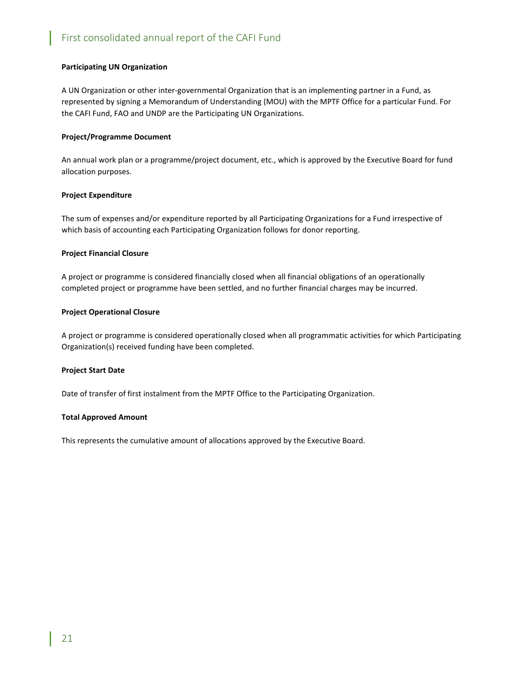### **Participating UN Organization**

A UN Organization or other inter-governmental Organization that is an implementing partner in a Fund, as represented by signing a Memorandum of Understanding (MOU) with the MPTF Office for a particular Fund. For the CAFI Fund, FAO and UNDP are the Participating UN Organizations.

#### **Project/Programme Document**

An annual work plan or a programme/project document, etc., which is approved by the Executive Board for fund allocation purposes.

#### **Project Expenditure**

The sum of expenses and/or expenditure reported by all Participating Organizations for a Fund irrespective of which basis of accounting each Participating Organization follows for donor reporting.

#### **Project Financial Closure**

A project or programme is considered financially closed when all financial obligations of an operationally completed project or programme have been settled, and no further financial charges may be incurred.

#### **Project Operational Closure**

A project or programme is considered operationally closed when all programmatic activities for which Participating Organization(s) received funding have been completed.

#### **Project Start Date**

Date of transfer of first instalment from the MPTF Office to the Participating Organization.

#### **Total Approved Amount**

This represents the cumulative amount of allocations approved by the Executive Board.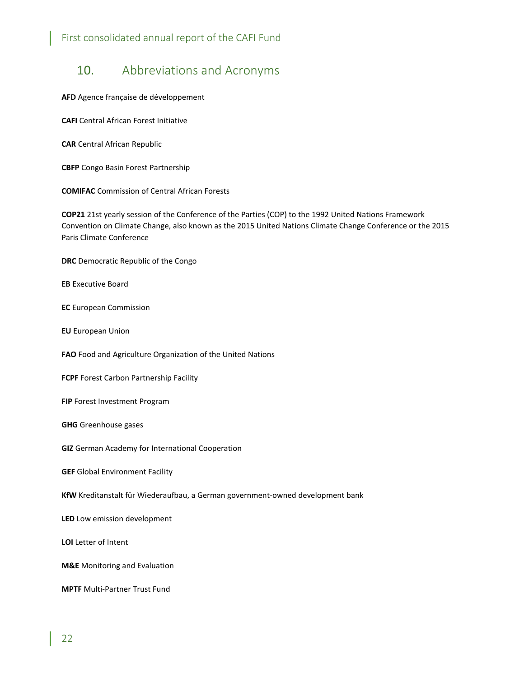# <span id="page-22-0"></span>10. Abbreviations and Acronyms

**AFD** Agence française de développement

**CAFI** Central African Forest Initiative

**CAR** Central African Republic

**CBFP** Congo Basin Forest Partnership

**COMIFAC** Commission of Central African Forests

**COP21** 21st yearly session of the [Conference of the Parties](https://en.wikipedia.org/wiki/United_Nations_Climate_Change_conference) (COP) to the 1992 [United Nations Framework](https://en.wikipedia.org/wiki/United_Nations_Framework_Convention_on_Climate_Change)  [Convention on Climate Change,](https://en.wikipedia.org/wiki/United_Nations_Framework_Convention_on_Climate_Change) also known as the 2015 United Nations Climate Change Conference or the 2015 Paris Climate Conference

**DRC** Democratic Republic of the Congo

**EB** Executive Board

**EC** European Commission

**EU** European Union

**FAO** Food and Agriculture Organization of the United Nations

**FCPF** Forest Carbon Partnership Facility

**FIP** Forest Investment Program

**GHG** Greenhouse gases

**GIZ** German Academy for International Cooperation

**GEF** Global Environment Facility

**KfW** Kreditanstalt für Wiederaufbau, [a German](https://en.wikipedia.org/wiki/Germany) [government-owned](https://en.wikipedia.org/wiki/Government-owned_corporation) [development bank](https://en.wikipedia.org/wiki/International_financial_institutions)

**LED** Low emission development

**LOI** Letter of Intent

**M&E** Monitoring and Evaluation

**MPTF** Multi-Partner Trust Fund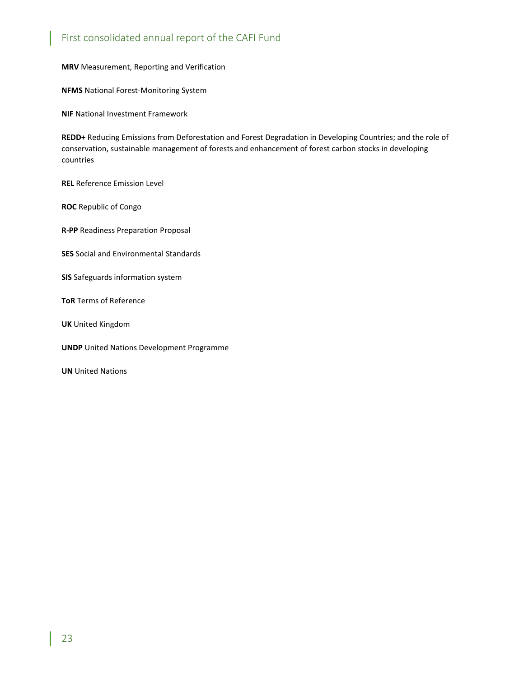**MRV** Measurement, Reporting and Verification

**NFMS** National Forest-Monitoring System

**NIF** National Investment Framework

**REDD+** Reducing Emissions from Deforestation and Forest Degradation in Developing Countries; and the role of conservation, sustainable management of forests and enhancement of forest carbon stocks in developing countries

**REL** Reference Emission Level

**ROC** Republic of Congo

**R-PP** Readiness Preparation Proposal

**SES** Social and Environmental Standards

**SIS** Safeguards information system

**ToR** Terms of Reference

**UK** United Kingdom

**UNDP** United Nations Development Programme

**UN** United Nations